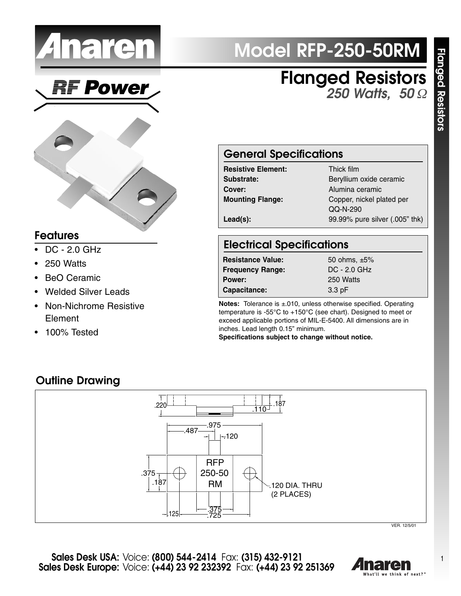

Power

# **Model RFP-250-50RM**

**Flanged Resistors** *250 Watts, 50* Ω



#### **Features**

- DC 2.0 GHz
- 250 Watts
- BeO Ceramic
- Welded Silver Leads
- Non-Nichrome Resistive Element
- 100% Tested

## **General Specifications**

| <b>Resistive Element:</b> | Thick film        |
|---------------------------|-------------------|
| Substrate:                | Beryllium oxide o |
| Cover:                    | Alumina ceramic   |
| <b>Mounting Flange:</b>   | Copper, nickel pl |
|                           | QQ-N-290          |
| $Lead(s)$ :               | 99.99% pure silv  |

Beryllium oxide ceramic **Mounting Flange:** Copper, nickel plated per QQ-N-290 **Lead(s):** 99.99% pure silver (.005" thk)

## **Electrical Specifications**

| <b>Resistance Value:</b> | 50 ohms, $\pm 5\%$ |
|--------------------------|--------------------|
| <b>Frequency Range:</b>  | $DC - 2.0$ GHz     |
| Power:                   | 250 Watts          |
| Capacitance:             | $3.3$ pF           |

**Notes:** Tolerance is ±.010, unless otherwise specified. Operating temperature is -55°C to +150°C (see chart). Designed to meet or exceed applicable portions of MIL-E-5400. All dimensions are in inches. Lead length 0.15" minimum. **Specifications subject to change without notice.**

### **Outline Drawing**



VER. 12/5/01